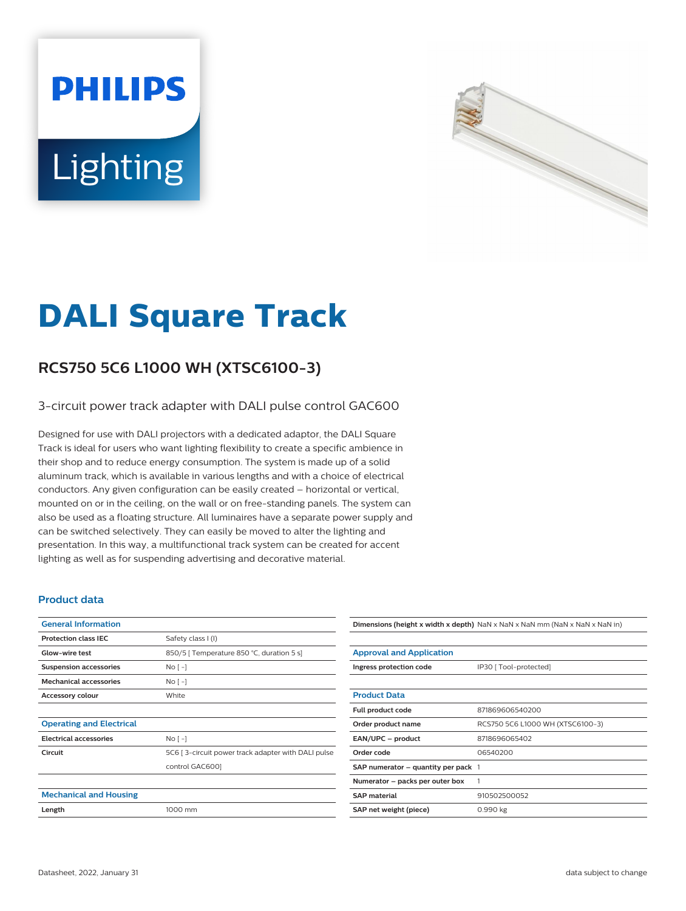# **PHILIPS** Lighting



## **DALI Square Track**

#### **RCS750 5C6 L1000 WH (XTSC6100-3)**

#### 3-circuit power track adapter with DALI pulse control GAC600

Designed for use with DALI projectors with a dedicated adaptor, the DALI Square Track is ideal for users who want lighting flexibility to create a specific ambience in their shop and to reduce energy consumption. The system is made up of a solid aluminum track, which is available in various lengths and with a choice of electrical conductors. Any given configuration can be easily created – horizontal or vertical, mounted on or in the ceiling, on the wall or on free-standing panels. The system can also be used as a floating structure. All luminaires have a separate power supply and can be switched selectively. They can easily be moved to alter the lighting and presentation. In this way, a multifunctional track system can be created for accent lighting as well as for suspending advertising and decorative material.

#### **Product data**

| <b>General Information</b>      |                                                    |
|---------------------------------|----------------------------------------------------|
| <b>Protection class IEC</b>     | Safety class I (I)                                 |
| Glow-wire test                  | 850/5   Temperature 850 °C, duration 5 s]          |
| <b>Suspension accessories</b>   | $No[-]$                                            |
| <b>Mechanical accessories</b>   | $No[-]$                                            |
| Accessory colour                | White                                              |
|                                 |                                                    |
| <b>Operating and Electrical</b> |                                                    |
| <b>Electrical accessories</b>   | $No[-]$                                            |
| Circuit                         | 5C6 [3-circuit power track adapter with DALI pulse |
|                                 | control GAC6001                                    |
|                                 |                                                    |
| <b>Mechanical and Housing</b>   |                                                    |
| Length                          | 1000 mm                                            |
|                                 |                                                    |

### **Dimensions (height x width x depth)** NaN x NaN x NaN mm (NaN x NaN x NaN in)

| <b>Approval and Application</b>       |                                  |
|---------------------------------------|----------------------------------|
| Ingress protection code               | IP30 [ Tool-protected]           |
|                                       |                                  |
| <b>Product Data</b>                   |                                  |
| Full product code                     | 871869606540200                  |
| Order product name                    | RCS750 5C6 L1000 WH (XTSC6100-3) |
| EAN/UPC - product                     | 8718696065402                    |
| Order code                            | 06540200                         |
| SAP numerator $-$ quantity per pack 1 |                                  |
| Numerator - packs per outer box       | 1                                |
| <b>SAP</b> material                   | 910502500052                     |
| SAP net weight (piece)                | 0.990 kg                         |